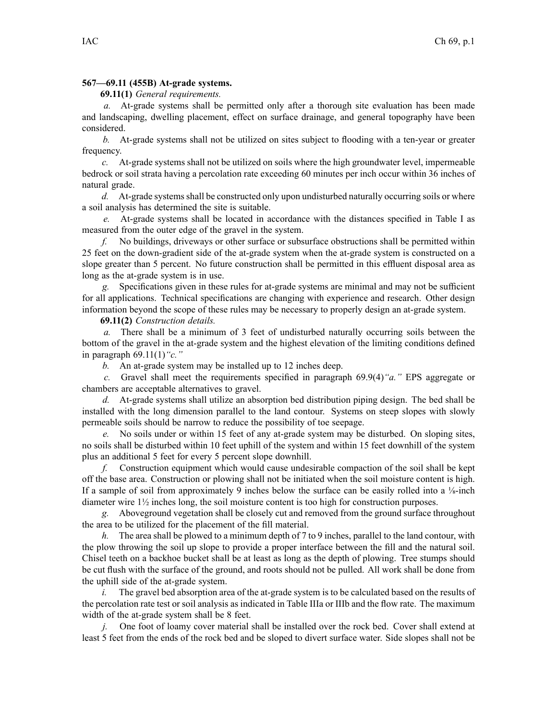## **567—69.11 (455B) At-grade systems.**

## **69.11(1)** *General requirements.*

*a.* At-grade systems shall be permitted only after <sup>a</sup> thorough site evaluation has been made and landscaping, dwelling placement, effect on surface drainage, and general topography have been considered.

*b.* At-grade systems shall not be utilized on sites subject to flooding with <sup>a</sup> ten-year or greater frequency.

*c.* At-grade systems shall not be utilized on soils where the high groundwater level, impermeable bedrock or soil strata having <sup>a</sup> percolation rate exceeding 60 minutes per inch occur within 36 inches of natural grade.

d. At-grade systems shall be constructed only upon undisturbed naturally occurring soils or where <sup>a</sup> soil analysis has determined the site is suitable.

*e.* At-grade systems shall be located in accordance with the distances specified in Table I as measured from the outer edge of the gravel in the system.

*f.* No buildings, driveways or other surface or subsurface obstructions shall be permitted within 25 feet on the down-gradient side of the at-grade system when the at-grade system is constructed on <sup>a</sup> slope greater than 5 percent. No future construction shall be permitted in this effluent disposal area as long as the at-grade system is in use.

*g.* Specifications given in these rules for at-grade systems are minimal and may not be sufficient for all applications. Technical specifications are changing with experience and research. Other design information beyond the scope of these rules may be necessary to properly design an at-grade system.

**69.11(2)** *Construction details.*

*a.* There shall be <sup>a</sup> minimum of 3 feet of undisturbed naturally occurring soils between the bottom of the gravel in the at-grade system and the highest elevation of the limiting conditions defined in paragraph 69.11(1)*"c."*

*b.* An at-grade system may be installed up to 12 inches deep.

*c.* Gravel shall meet the requirements specified in paragraph 69.9(4)*"a."* EPS aggregate or chambers are acceptable alternatives to gravel.

*d.* At-grade systems shall utilize an absorption bed distribution piping design. The bed shall be installed with the long dimension parallel to the land contour. Systems on steep slopes with slowly permeable soils should be narrow to reduce the possibility of toe seepage.

*e.* No soils under or within 15 feet of any at-grade system may be disturbed. On sloping sites, no soils shall be disturbed within 10 feet uphill of the system and within 15 feet downhill of the system plus an additional 5 feet for every 5 percen<sup>t</sup> slope downhill.

*f.* Construction equipment which would cause undesirable compaction of the soil shall be kept off the base area. Construction or plowing shall not be initiated when the soil moisture content is high. If <sup>a</sup> sample of soil from approximately 9 inches below the surface can be easily rolled into <sup>a</sup> ⅛-inch diameter wire 1½ inches long, the soil moisture content is too high for construction purposes.

*g.* Aboveground vegetation shall be closely cut and removed from the ground surface throughout the area to be utilized for the placement of the fill material.

*h.* The area shall be plowed to <sup>a</sup> minimum depth of 7 to 9 inches, parallel to the land contour, with the plow throwing the soil up slope to provide <sup>a</sup> proper interface between the fill and the natural soil. Chisel teeth on <sup>a</sup> backhoe bucket shall be at least as long as the depth of plowing. Tree stumps should be cut flush with the surface of the ground, and roots should not be pulled. All work shall be done from the uphill side of the at-grade system.

*i.* The gravel bed absorption area of the at-grade system is to be calculated based on the results of the percolation rate test or soil analysis as indicated in Table IIIa or IIIb and the flow rate. The maximum width of the at-grade system shall be 8 feet.

*j.* One foot of loamy cover material shall be installed over the rock bed. Cover shall extend at least 5 feet from the ends of the rock bed and be sloped to divert surface water. Side slopes shall not be